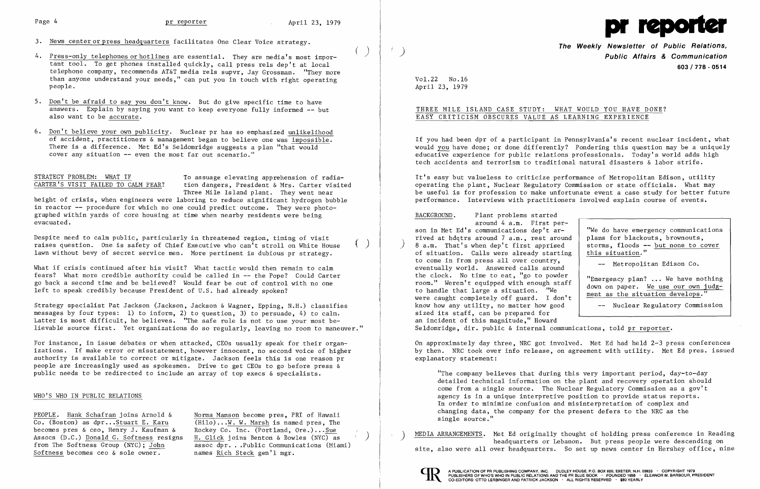- 3. News center or press headquarters facilitates One Clear Voice strategy.
- 4. Press-only telephones or hotlines are essential. They are media's most important tool. To get phones installed quickly, call press re1s dep't at local telephone company, recommends AT&T media re1s supvr, Jay Grossman. "They more than anyone understand your needs," can put you in touch with right operating people.
- 5. Don't be afraid to say you don't know. But do give specific time to have answers. Explain by saying you want to keep everyone fully informed -- but also want to be accurate.
- 6. Don't believe your own publicity. Nuclear pr has so emphasized unlikelihood of accident, practitioners & management began to believe one was impossible. There is a difference. Met Ed's Seldomridge suggests a plan "that would cover any situation -- even the most far out scenario."

STRATEGY PROBLEM: WHAT IF<br>CARTER'S VISIT FAILED TO CALM FEAR? tion dangers. President & Mrs. Carter visite tion dangers, President & Mrs. Carter visited Three Mile Island plant. They went near

Despite need to calm public, particularly in threatened region, timing of visit raises question. One is safety of Chief Executive who can't stroll on White House lawn without bevy of secret service men. More pertinent is dubious pr strategy. (  $($  )

What if crisis continued after his visit? What tactic would then remain to calm fears? What more credible authority could be called in -- the Pope? Could Carter go back a second time and be believed? Would fear be out of control with no one left to speak credibly because President of U.S. had already spoken?

Strategy specialist Pat Jackson (Jackson, Jackson & Wagner, Epping, N.H.) classifies messages by four types: 1) to inform, 2) to question, 3) to persuade, 4) to calm. Latter is most difficult, he believes. "The safe rule is not to use your most believable source first. Yet organizations do so regularly, leaving no room to maneuver."

height of crisis, when engineers were laboring to reduce significant hydrogen bubble in reactor -- procedure for which no one could predict outcome. They were photographed within yards of core housing at time when nearby residents were being evacuated.

PEOPLE. Hank Schafran joins Arnold & Co. (Boston) as dpr...Stuart E. Karu becomes pres & ceo, Henry J. Kaufman & Assocs (D.C.) Donald G. Softness resigns from The Softness Group (NYC); John Softness becomes ceo & sole owner.

For instance, in issue debates or when attacked, CEOs usually speak for their organizations. If make error or misstatement, however innocent, no second voice of higher authority is available to correct or mitigate. Jackson feels this is one reason pr people are increasingly used as spokesmen. Drive to get CEOs to go before press & public needs to be redirected to include an array of top execs & specialists.

son in Met Ed's communications dep't ar-<br>rived at hdatrs around 7 a.m.. rest aroun 8 a.m. That's when dep't first apprised of situation. Calls were already starting to come in from press all over country, eventually world. Answered calls around the clock. No time to eat, "go to powde: room." Weren't equipped with enough staf to handle that large a situation. "We were caught completely off guard. I don know how any utility, no matter how good sized its staff, can be prepared for an incident of this magnitude," Howard this situation." Seldomridge, dir. public & internal communications, told pr reporter.

### WHO'S WHO IN PUBLIC RELATIONS

Norma Manson become pres, PRI of Hawaii (Hi10) ...W. W. Marsh is named pres, The Rockey Co. Inc. (Portland, Ore.) ... Sue H. Glick joins Benton & Bowles (NYC) as ) assoc dpr...Public Communications (Miami) names Rich Steck gen'l mgr.



**The Weekly Newsletter of Public Relations,** ) **Public Affairs & Communication 603/778·0514** 

Vol. 22 No .16 April 23, 1979

## THREE MILE ISLAND CASE STUDY: WHAT WOULD YOU HAVE DONE? EASY CRITICISM OBSCURES VALUE AS LEARNING EXPERIENCE

If you had been dpr of a participant in Pennsylvania's recent nuclear incident, what would you have done; or done differently? Pondering this question may be a uniquely educative experience for public relations professionals. Today's world adds high tech accidents and terrorism to traditional natural disasters & labor strife.

It's easy but valueless to criticize performance of Metropolitan Edison, utility operating the plant, Nuclear Regulatory Commission or state officials. What may be useful is for profession to make unfortunate event a case study for better future performance. Interviews with practitioners involved explain course of events.

BACKGROUND. Plant problems started around 4 a.m. First per-

|             | "We do have emergency communications                                     |
|-------------|--------------------------------------------------------------------------|
| ınd         | plans for blackouts, brownouts,                                          |
|             | storms, floods -- but none to cover                                      |
| ng          | this situation."                                                         |
|             | Metropolitan Edison Co.                                                  |
| 'n.<br>ւf f | "Emergency plan?  We have nothing<br>down on paper. We use our own judg- |
| ı't         | ment as the situation develops."                                         |
|             | Nuclear Regulatory Commission                                            |

On approximately day three, NRC got involved. Met Ed had held 2-3 press conferences by then. NRC took over info release, on agreement with utility. Met Ed pres. issued explanatory statement:

"The company believes that during this very important period, day-to-day detailed technical information on the plant and recovery operation should come from a single source. The Nuclear Regulatory Commission as a gov't agency is in a unique interpretive position to provide status reports. In order to minimize confusion and misinterpretation of complex and changing data, the company for the present defers to the NRC as the single source."

MEDIA ARRANGEMENTS. Met Ed originally thought of holding press conference in Reading<br>headquarters or Lebanon. But press people were descending on site, also were all over headquarters. So set up news center in Hershey office, nine